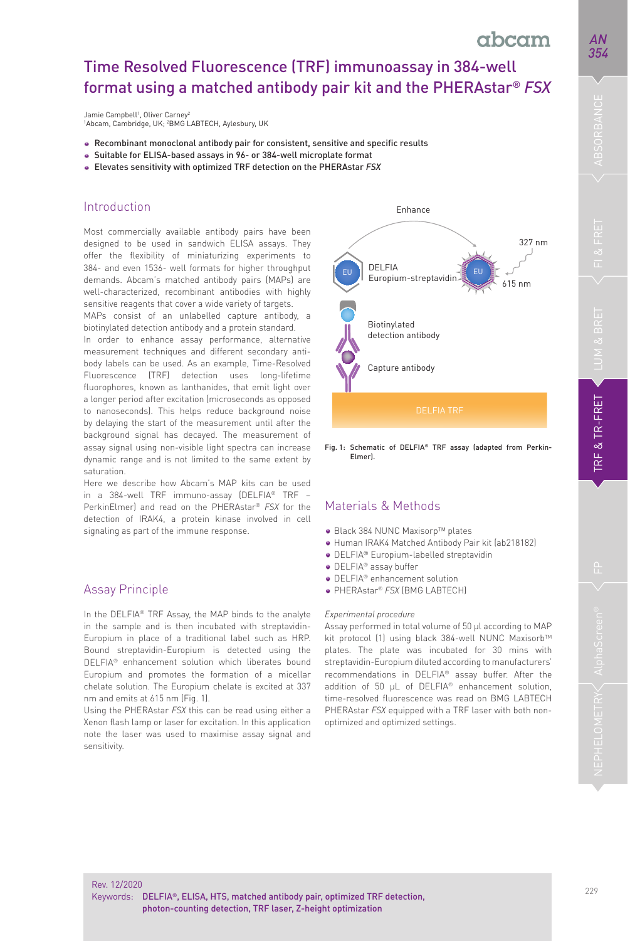# Time Resolved Fluorescence (TRF) immunoassay in 384-well format using a matched antibody pair kit and the PHERAstar® *FSX*

Jamie Campbell<sup>1</sup>, Oliver Carney<sup>2</sup> 1 Abcam, Cambridge, UK; 2 BMG LABTECH, Aylesbury, UK

- Recombinant monoclonal antibody pair for consistent, sensitive and specific results
- Suitable for ELISA-based assays in 96- or 384-well microplate format
- Elevates sensitivity with optimized TRF detection on the PHERAstar *FSX*

# Introduction

Most commercially available antibody pairs have been designed to be used in sandwich ELISA assays. They offer the flexibility of miniaturizing experiments to 384- and even 1536- well formats for higher throughput demands. Abcam's matched antibody pairs (MAPs) are well-characterized, recombinant antibodies with highly sensitive reagents that cover a wide variety of targets.

MAPs consist of an unlabelled capture antibody, a biotinylated detection antibody and a protein standard.

In order to enhance assay performance, alternative measurement techniques and different secondary antibody labels can be used. As an example, Time-Resolved Fluorescence (TRF) detection uses long-lifetime fluorophores, known as lanthanides, that emit light over a longer period after excitation (microseconds as opposed to nanoseconds). This helps reduce background noise by delaying the start of the measurement until after the background signal has decayed. The measurement of assay signal using non-visible light spectra can increase dynamic range and is not limited to the same extent by saturation.

Here we describe how Abcam's MAP kits can be used in a 384-well TRF immuno-assay (DELFIA® TRF – PerkinElmer) and read on the PHERAstar® *FSX* for the detection of IRAK4, a protein kinase involved in cell signaling as part of the immune response.

# Assay Principle

In the DELFIA® TRF Assay, the MAP binds to the analyte in the sample and is then incubated with streptavidin-Europium in place of a traditional label such as HRP. Bound streptavidin-Europium is detected using the DELFIA® enhancement solution which liberates bound Europium and promotes the formation of a micellar chelate solution. The Europium chelate is excited at 337 nm and emits at 615 nm (Fig. 1).

Using the PHERAstar *FSX* this can be read using either a Xenon flash lamp or laser for excitation. In this application note the laser was used to maximise assay signal and sensitivity.



Fig. 1: Schematic of DELFIA® TRF assay (adapted from Perkin- Elmer).

# Materials & Methods

- Black 384 NUNC Maxisorp™ plates
- · Human IRAK4 Matched Antibody Pair kit (ab218182)
- DELFIA® Europium-labelled streptavidin
- DELFIA® assay buffer
- DELFIA® enhancement solution
- PHERAstar<sup>®</sup> FSX (BMG LABTECH)

#### *Experimental procedure*

Assay performed in total volume of 50 µl according to MAP kit protocol (1) using black 384-well NUNC Maxisorb™ plates. The plate was incubated for 30 mins with streptavidin-Europium diluted according to manufacturers' recommendations in DELFIA® assay buffer. After the addition of 50 µL of DELFIA® enhancement solution, time-resolved fluorescence was read on BMG LABTECH PHERAstar *FSX* equipped with a TRF laser with both nonoptimized and optimized settings.

*AN 354*

**TRF & TR-FRET**